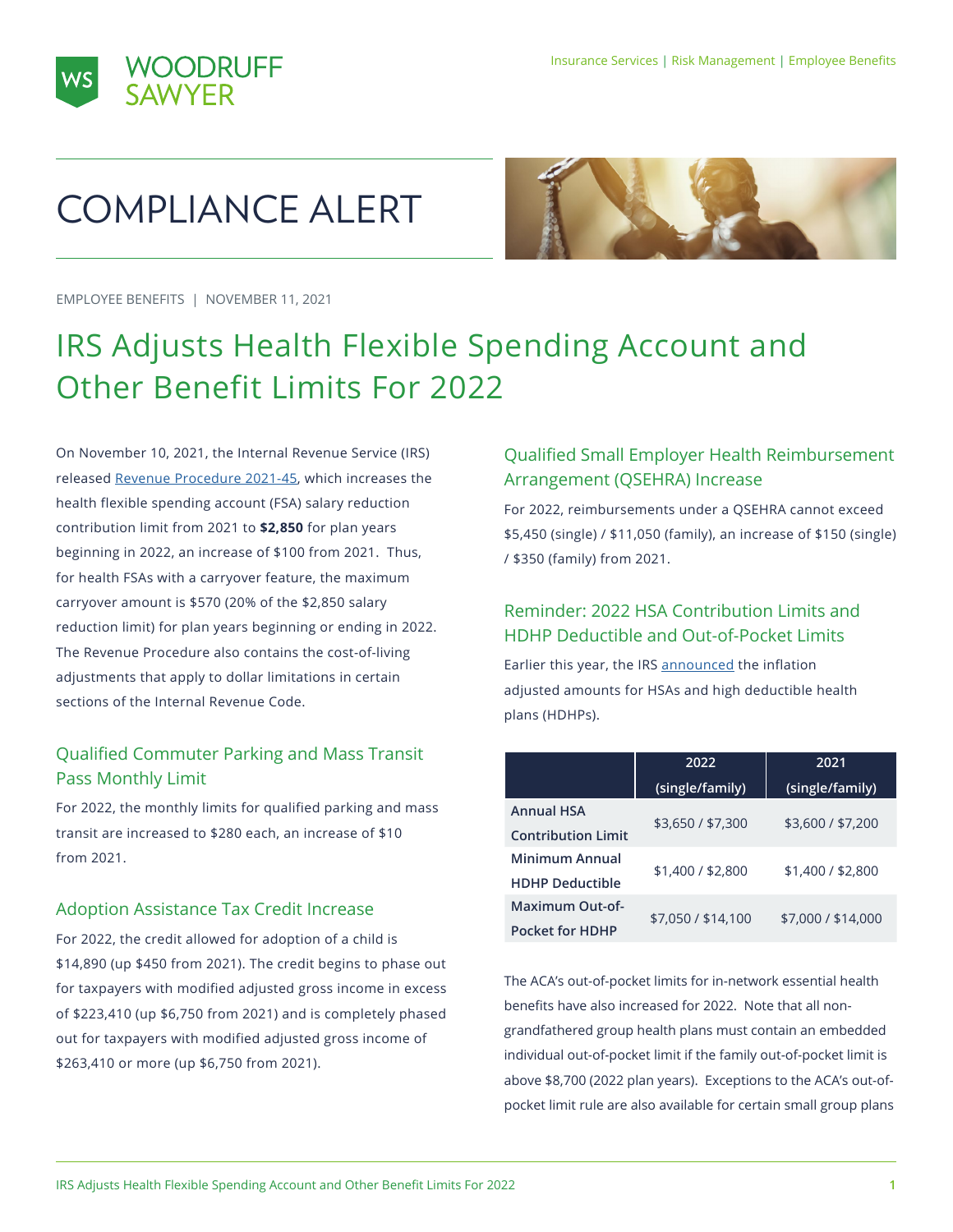



# COMPLIANCE ALERT



EMPLOYEE BENEFITS | NOVEMBER 11, 2021

# IRS Adjusts Health Flexible Spending Account and Other Benefit Limits For 2022

On November 10, 2021, the Internal Revenue Service (IRS) released [Revenue Procedure 2021-45](https://www.irs.gov/pub/irs-drop/rp-21-45.pdf), which increases the health flexible spending account (FSA) salary reduction contribution limit from 2021 to **\$2,850** for plan years beginning in 2022, an increase of \$100 from 2021. Thus, for health FSAs with a carryover feature, the maximum carryover amount is \$570 (20% of the \$2,850 salary reduction limit) for plan years beginning or ending in 2022. The Revenue Procedure also contains the cost-of-living adjustments that apply to dollar limitations in certain sections of the Internal Revenue Code.

# Qualified Commuter Parking and Mass Transit Pass Monthly Limit

For 2022, the monthly limits for qualified parking and mass transit are increased to \$280 each, an increase of \$10 from 2021.

#### Adoption Assistance Tax Credit Increase

For 2022, the credit allowed for adoption of a child is \$14,890 (up \$450 from 2021). The credit begins to phase out for taxpayers with modified adjusted gross income in excess of \$223,410 (up \$6,750 from 2021) and is completely phased out for taxpayers with modified adjusted gross income of \$263,410 or more (up \$6,750 from 2021).

# Qualified Small Employer Health Reimbursement Arrangement (QSEHRA) Increase

For 2022, reimbursements under a QSEHRA cannot exceed \$5,450 (single) / \$11,050 (family), an increase of \$150 (single) / \$350 (family) from 2021.

## Reminder: 2022 HSA Contribution Limits and HDHP Deductible and Out-of-Pocket Limits

Earlier this year, the IRS [announced](https://www.irs.gov/pub/irs-drop/rp-21-25.pdf) the inflation adjusted amounts for HSAs and high deductible health plans (HDHPs).

|                           | 2022               | 2021               |
|---------------------------|--------------------|--------------------|
|                           | (single/family)    | (single/family)    |
| <b>Annual HSA</b>         | \$3,650 / \$7,300  | \$3,600 / \$7,200  |
| <b>Contribution Limit</b> |                    |                    |
| Minimum Annual            | \$1,400 / \$2,800  | \$1,400 / \$2,800  |
| <b>HDHP Deductible</b>    |                    |                    |
| Maximum Out-of-           |                    |                    |
| <b>Pocket for HDHP</b>    | \$7,050 / \$14,100 | \$7,000 / \$14,000 |

The ACA's out-of-pocket limits for in-network essential health benefits have also increased for 2022. Note that all nongrandfathered group health plans must contain an embedded individual out-of-pocket limit if the family out-of-pocket limit is above \$8,700 (2022 plan years). Exceptions to the ACA's out-ofpocket limit rule are also available for certain small group plans